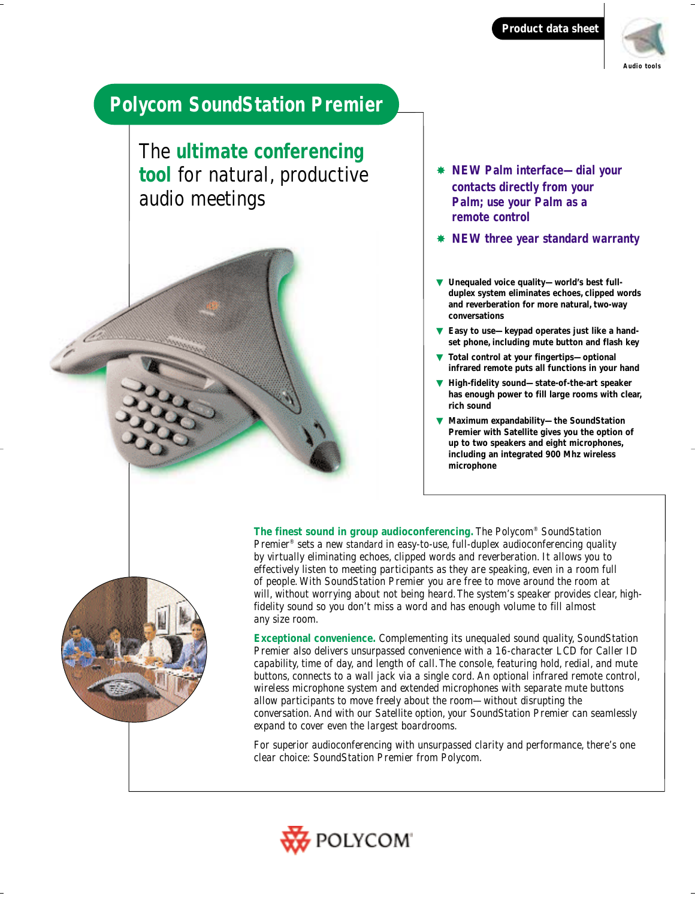**Product data sheet**



# **Polycom SoundStation Premier**

The **ultimate conferencing tool** for natural, productive audio meetings

- ✸ **NEW Palm interface—dial your contacts directly from your Palm; use your Palm as a remote control**
- ✸ **NEW three year standard warranty**
- ▼ **Unequaled voice quality—world's best fullduplex system eliminates echoes, clipped words and reverberation for more natural, two-way conversations**
- Easy to use-keypad operates just like a hand**set phone, including mute button and flash key**
- Total control at your fingertips-optional **infrared remote puts all functions in your hand**
- **High-fidelity sound—state-of-the-art speaker has enough power to fill large rooms with clear, rich sound**
- **Maximum expandability-the SoundStation Premier with Satellite gives you the option of up to two speakers and eight microphones, including an integrated 900 Mhz wireless microphone**

**The finest sound in group audioconferencing.** The Polycom® SoundStation Premier® sets a new standard in easy-to-use, full-duplex audioconferencing quality by virtually eliminating echoes, clipped words and reverberation. It allows you to effectively listen to meeting participants as they are speaking, even in a room full of people. With SoundStation Premier you are free to move around the room at will, without worrying about not being heard. The system's speaker provides clear, highfidelity sound so you don't miss a word and has enough volume to fill almost any size room.

**Exceptional convenience.** Complementing its unequaled sound quality, SoundStation Premier also delivers unsurpassed convenience with a 16-character LCD for Caller ID capability, time of day, and length of call.The console, featuring hold, redial, and mute buttons, connects to a wall jack via a single cord. An optional infrared remote control, wireless microphone system and extended microphones with separate mute buttons allow participants to move freely about the room—without disrupting the conversation. And with our Satellite option, your SoundStation Premier can seamlessly expand to cover even the largest boardrooms.

For superior audioconferencing with unsurpassed clarity and performance, there's one clear choice: SoundStation Premier from Polycom.